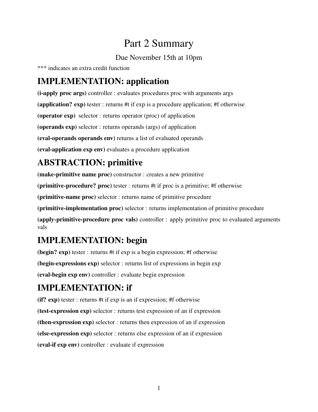# Part 2 Summary

#### Due November 15th at 10pm

\*\*\* indicates an extra credit function

#### IMPLEMENTATION: application

(i-apply proc args) controller : evaluates procedures proc with arguments args (application? exp) tester : returns #t if exp is a procedure application; #f otherwise (operator exp) selector : returns operator (proc) of application (operands exp) selector : returns operands (args) of application (eval-operands operands env) returns a list of evaluated operands (eval-application exp env) evaluates a procedure application

### ABSTRACTION: primitive

(make-primitive name proc) constructor : creates a new primitive

(primitive-procedure? proc) tester : returns #t if proc is a primitive; #f otherwise

(primitive-name proc) selector : returns name of primitive procedure

(primitive-implementation proc) selector : returns implementation of primitive procedure

(apply-primitive-procedure proc vals) controller : apply primitive proc to evaluated arguments vals

#### IMPLEMENTATION: begin

(begin? exp) tester : returns #t if exp is a begin expression; #f otherwise (begin-expressions exp) selector : returns list of expressions in begin exp (eval-begin exp env) controller : evaluate begin expression

## IMPLEMENTATION: if

(if? exp) tester : returns #t if exp is an if expression; #f otherwise (test-expression exp) selector : returns test expression of an if expression (then-expression exp) selector : returns then expression of an if expression (else-expression exp) selector : returns else expression of an if expression (eval-if exp env) controller : evaluate if expression